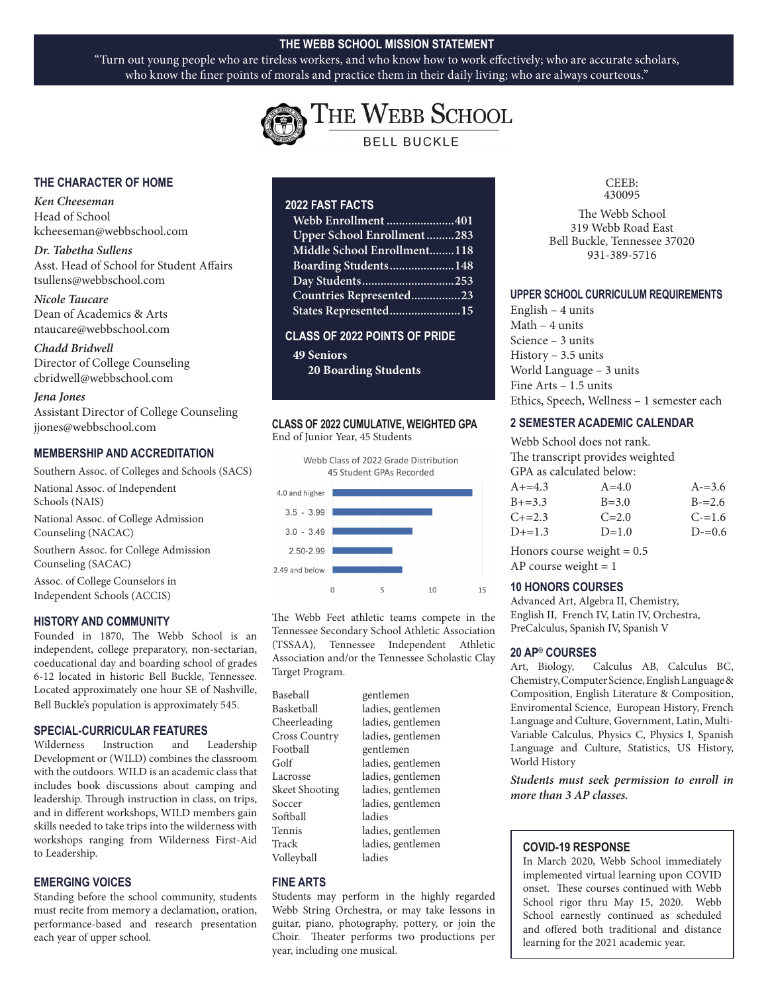#### **THE WEBB SCHOOL MISSION STATEMENT**

"Turn out young people who are tireless workers, and who know how to work effectively; who are accurate scholars, who know the finer points of morals and practice them in their daily living; who are always courteous."



THE WEBB SCHOOL **BELL BUCKLE** 

#### **THE CHARACTER OF HOME**

*Ken Cheeseman* Head of School kcheeseman@webbschool.com

*Dr. Tabetha Sullens* Asst. Head of School for Student Affairs tsullens@webbschool.com

*Nicole Taucare*  Dean of Academics & Arts ntaucare@webbschool.com

*Chadd Bridwell* Director of College Counseling cbridwell@webbschool.com

#### *Jena Jones*

Assistant Director of College Counseling jjones@webbschool.com

#### **MEMBERSHIP AND ACCREDITATION**

Southern Assoc. of Colleges and Schools (SACS) National Assoc. of Independent Schools (NAIS) National Assoc. of College Admission Counseling (NACAC) Southern Assoc. for College Admission Counseling (SACAC) Assoc. of College Counselors in Independent Schools (ACCIS)

#### **HISTORY AND COMMUNITY**

Founded in 1870, The Webb School is an independent, college preparatory, non-sectarian, coeducational day and boarding school of grades 6-12 located in historic Bell Buckle, Tennessee. Located approximately one hour SE of Nashville, Bell Buckle's population is approximately 545.

#### **SPECIAL-CURRICULAR FEATURES**

Wilderness Instruction and Leadership Development or (WILD) combines the classroom with the outdoors. WILD is an academic class that includes book discussions about camping and leadership. Through instruction in class, on trips, and in different workshops, WILD members gain skills needed to take trips into the wilderness with workshops ranging from Wilderness First-Aid to Leadership.

#### **EMERGING VOICES**

Standing before the school community, students must recite from memory a declamation, oration, performance-based and research presentation each year of upper school.

#### **2022 FAST FACTS**

| Webb Enrollment 401         |
|-----------------------------|
| Upper School Enrollment283  |
| Middle School Enrollment118 |
| Boarding Students148        |
|                             |
| Countries Represented23     |
| States Represented15        |

#### **CLASS OF 2022 POINTS OF PRIDE**

**49 Seniors 20 Boarding Students** 

#### **CLASS OF 2022 CUMULATIVE, WEIGHTED GPA** End of Junior Year, 45 Students



The Webb Feet athletic teams compete in the Tennessee Secondary School Athletic Association (TSSAA), Tennessee Independent Athletic Association and/or the Tennessee Scholastic Clay Target Program.

| Baseball       | gentlemen         |
|----------------|-------------------|
| Basketball     | ladies, gentlemen |
| Cheerleading   | ladies, gentlemen |
| Cross Country  | ladies, gentlemen |
| Football       | gentlemen         |
| Golf           | ladies, gentlemen |
| Lacrosse       | ladies, gentlemen |
| Skeet Shooting | ladies, gentlemen |
| Soccer         | ladies, gentlemen |
| Softball       | ladies            |
| Tennis         | ladies, gentlemen |
| Track          | ladies, gentlemen |
| Volleyball     | ladies            |

#### **FINE ARTS**

Students may perform in the highly regarded Webb String Orchestra, or may take lessons in guitar, piano, photography, pottery, or join the Choir. Theater performs two productions per year, including one musical.

CEEB: 430095

The Webb School 319 Webb Road East Bell Buckle, Tennessee 37020 931-389-5716

#### **UPPER SCHOOL CURRICULUM REQUIREMENTS**

English – 4 units Math – 4 units Science – 3 units History – 3.5 units World Language – 3 units Fine Arts – 1.5 units Ethics, Speech, Wellness – 1 semester each

#### **2 SEMESTER ACADEMIC CALENDAR**

Webb School does not rank. The transcript provides weighted GPA as calculated below:

| $A + = 4.3$ | $A = 4.0$ | $A = 3.6$ |
|-------------|-----------|-----------|
| $B+=3.3$    | $B = 3.0$ | $B = 2.6$ |
| $C+=2.3$    | $C = 2.0$ | $C = 1.6$ |
| $D+=1.3$    | $D=1.0$   | $D = 0.6$ |
|             |           |           |

Honors course weight  $= 0.5$ AP course weight  $= 1$ 

#### **10 HONORS COURSES**

Advanced Art, Algebra II, Chemistry, English II, French IV, Latin IV, Orchestra, PreCalculus, Spanish IV, Spanish V

#### **20 AP® COURSES**

Art, Biology, Calculus AB, Calculus BC, Chemistry, Computer Science, English Language & Composition, English Literature & Composition, Enviromental Science, European History, French Language and Culture, Government, Latin, Multi-Variable Calculus, Physics C, Physics I, Spanish Language and Culture, Statistics, US History, World History

*Students must seek permission to enroll in more than 3 AP classes.*

#### **COVID-19 RESPONSE**

In March 2020, Webb School immediately implemented virtual learning upon COVID onset. These courses continued with Webb School rigor thru May 15, 2020. Webb School earnestly continued as scheduled and offered both traditional and distance learning for the 2021 academic year.